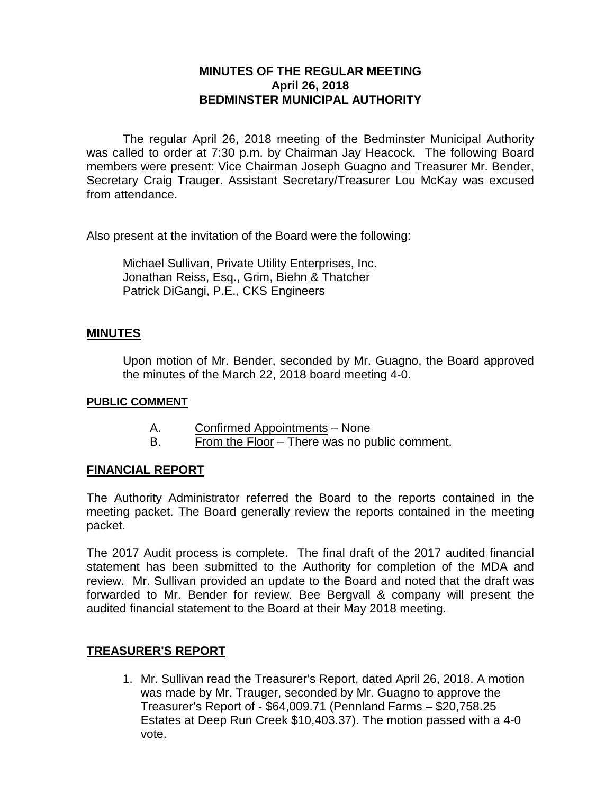# **MINUTES OF THE REGULAR MEETING April 26, 2018 BEDMINSTER MUNICIPAL AUTHORITY**

The regular April 26, 2018 meeting of the Bedminster Municipal Authority was called to order at 7:30 p.m. by Chairman Jay Heacock. The following Board members were present: Vice Chairman Joseph Guagno and Treasurer Mr. Bender, Secretary Craig Trauger. Assistant Secretary/Treasurer Lou McKay was excused from attendance.

Also present at the invitation of the Board were the following:

Michael Sullivan, Private Utility Enterprises, Inc. Jonathan Reiss, Esq., Grim, Biehn & Thatcher Patrick DiGangi, P.E., CKS Engineers

### **MINUTES**

Upon motion of Mr. Bender, seconded by Mr. Guagno, the Board approved the minutes of the March 22, 2018 board meeting 4-0.

#### **PUBLIC COMMENT**

- A. Confirmed Appointments None
- B. From the Floor There was no public comment.

### **FINANCIAL REPORT**

The Authority Administrator referred the Board to the reports contained in the meeting packet. The Board generally review the reports contained in the meeting packet.

The 2017 Audit process is complete. The final draft of the 2017 audited financial statement has been submitted to the Authority for completion of the MDA and review. Mr. Sullivan provided an update to the Board and noted that the draft was forwarded to Mr. Bender for review. Bee Bergvall & company will present the audited financial statement to the Board at their May 2018 meeting.

### **TREASURER'S REPORT**

1. Mr. Sullivan read the Treasurer's Report, dated April 26, 2018. A motion was made by Mr. Trauger, seconded by Mr. Guagno to approve the Treasurer's Report of - \$64,009.71 (Pennland Farms – \$20,758.25 Estates at Deep Run Creek \$10,403.37). The motion passed with a 4-0 vote.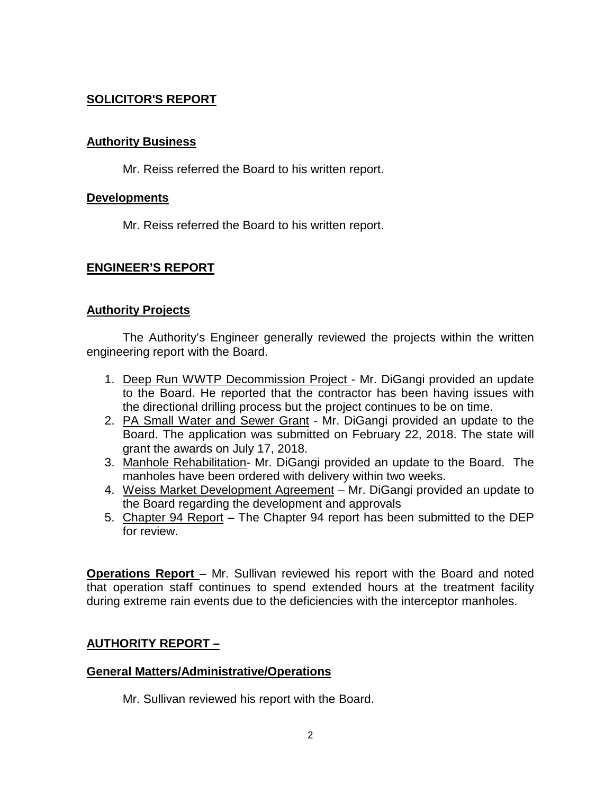# **SOLICITOR'S REPORT**

### **Authority Business**

Mr. Reiss referred the Board to his written report.

### **Developments**

Mr. Reiss referred the Board to his written report.

### **ENGINEER'S REPORT**

### **Authority Projects**

The Authority's Engineer generally reviewed the projects within the written engineering report with the Board.

- 1. Deep Run WWTP Decommission Project Mr. DiGangi provided an update to the Board. He reported that the contractor has been having issues with the directional drilling process but the project continues to be on time.
- 2. PA Small Water and Sewer Grant Mr. DiGangi provided an update to the Board. The application was submitted on February 22, 2018. The state will grant the awards on July 17, 2018.
- 3. Manhole Rehabilitation- Mr. DiGangi provided an update to the Board. The manholes have been ordered with delivery within two weeks.
- 4. Weiss Market Development Agreement Mr. DiGangi provided an update to the Board regarding the development and approvals
- 5. Chapter 94 Report The Chapter 94 report has been submitted to the DEP for review.

**Operations Report** – Mr. Sullivan reviewed his report with the Board and noted that operation staff continues to spend extended hours at the treatment facility during extreme rain events due to the deficiencies with the interceptor manholes.

### **AUTHORITY REPORT –**

### **General Matters/Administrative/Operations**

Mr. Sullivan reviewed his report with the Board.